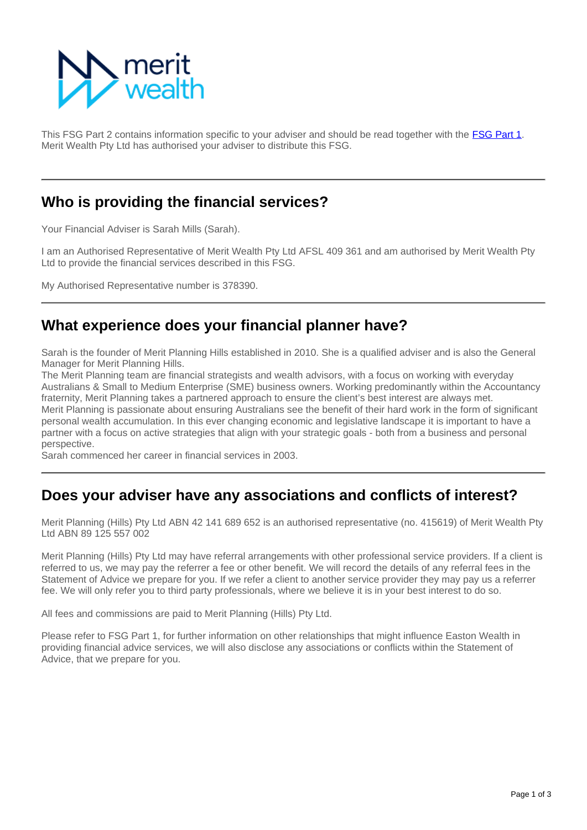

This FSG Part 2 contains information specific to your adviser and should be read together with the [FSG Part 1](https://info.eastonwealth.com.au/FinancialServicesGuide). Merit Wealth Pty Ltd has authorised your adviser to distribute this FSG.

### **Who is providing the financial services?**

Your Financial Adviser is Sarah Mills (Sarah).

I am an Authorised Representative of Merit Wealth Pty Ltd AFSL 409 361 and am authorised by Merit Wealth Pty Ltd to provide the financial services described in this FSG.

My Authorised Representative number is 378390.

### **What experience does your financial planner have?**

Sarah is the founder of Merit Planning Hills established in 2010. She is a qualified adviser and is also the General Manager for Merit Planning Hills.

The Merit Planning team are financial strategists and wealth advisors, with a focus on working with everyday Australians & Small to Medium Enterprise (SME) business owners. Working predominantly within the Accountancy fraternity, Merit Planning takes a partnered approach to ensure the client's best interest are always met. Merit Planning is passionate about ensuring Australians see the benefit of their hard work in the form of significant personal wealth accumulation. In this ever changing economic and legislative landscape it is important to have a partner with a focus on active strategies that align with your strategic goals - both from a business and personal perspective.

Sarah commenced her career in financial services in 2003.

### **Does your adviser have any associations and conflicts of interest?**

Merit Planning (Hills) Pty Ltd ABN 42 141 689 652 is an authorised representative (no. 415619) of Merit Wealth Pty Ltd ABN 89 125 557 002

Merit Planning (Hills) Pty Ltd may have referral arrangements with other professional service providers. If a client is referred to us, we may pay the referrer a fee or other benefit. We will record the details of any referral fees in the Statement of Advice we prepare for you. If we refer a client to another service provider they may pay us a referrer fee. We will only refer you to third party professionals, where we believe it is in your best interest to do so.

All fees and commissions are paid to Merit Planning (Hills) Pty Ltd.

Please refer to FSG Part 1, for further information on other relationships that might influence Easton Wealth in providing financial advice services, we will also disclose any associations or conflicts within the Statement of Advice, that we prepare for you.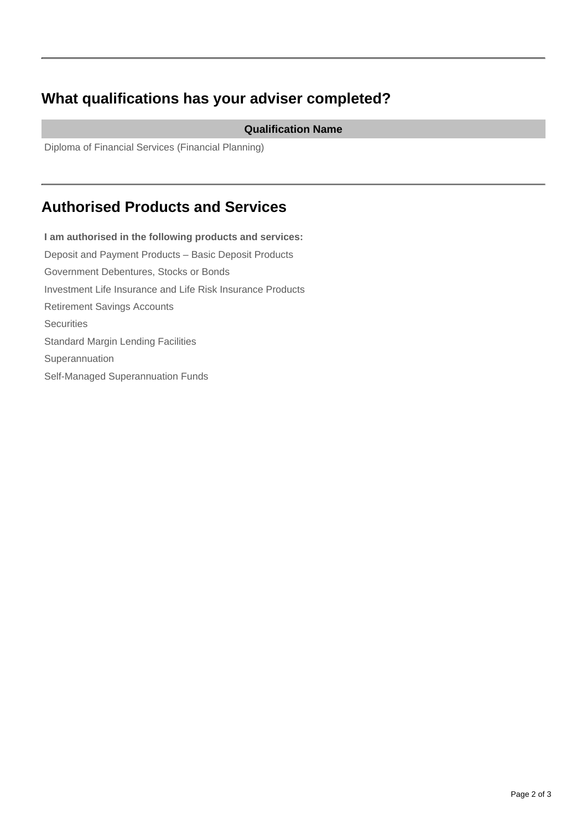# **What qualifications has your adviser completed?**

#### **Qualification Name**

Diploma of Financial Services (Financial Planning)

## **Authorised Products and Services**

**I am authorised in the following products and services:** Deposit and Payment Products – Basic Deposit Products Government Debentures, Stocks or Bonds Investment Life Insurance and Life Risk Insurance Products Retirement Savings Accounts **Securities** Standard Margin Lending Facilities Superannuation Self-Managed Superannuation Funds